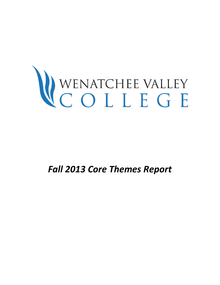# WENATCHEE VALLEY<br>COLLEGE

*Fall 2013 Core Themes Report*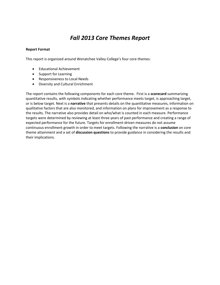# *Fall 2013 Core Themes Report*

## **Report Format**

This report is organized around Wenatchee Valley College's four core themes:

- Educational Achievement
- Support for Learning
- Responsiveness to Local Needs
- Diversity and Cultural Enrichment

The report contains the following components for each core theme. First is a **scorecard** summarizing quantitative results, with symbols indicating whether performance meets target, is approaching target, or is below target. Next is a **narrative** that presents details on the quantitative measures, information on qualitative factors that are also monitored, and information on plans for improvement as a response to the results. The narrative also provides detail on who/what is counted in each measure. Performance targets were determined by reviewing at least three years of past performance and creating a range of expected performance for the future. Targets for enrollment-driven measures do not assume continuous enrollment growth in order to meet targets. Following the narrative is a **conclusion** on core theme attainment and a set of **discussion questions** to provide guidance in considering the results and their implications.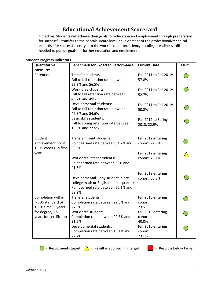# **Educational Achievement Scorecard**

Objective: Students will achieve their goals for education and employment through preparation for successful transfer to the baccalaureate level, development of the professional/technical expertise for successful entry into the workforce, or proficiency in college readiness skills needed to pursue goals for further education and employment.

| $-$ 0 $-$<br>Quantitative                                           | <b>Benchmark for Expected Performance</b>                                                                                        | <b>Current Data</b>                   | <b>Result</b> |
|---------------------------------------------------------------------|----------------------------------------------------------------------------------------------------------------------------------|---------------------------------------|---------------|
| <b>Measures</b>                                                     |                                                                                                                                  |                                       |               |
| Retention                                                           | Transfer students:<br>Fall to fall retention rate between<br>52.3% and 56.5%                                                     | Fall 2011 to Fall 2012:<br>57.8%      |               |
|                                                                     | Workforce students:<br>Fall to fall retention rate between<br>40.7% and 49%                                                      | Fall 2011 to Fall 2012:<br>52.7%      |               |
|                                                                     | Developmental students:<br>Fall to fall retention rate between<br>46.8% and 54.6%                                                | Fall 2011 to Fall 2012:<br>50.2%      |               |
|                                                                     | <b>Basic skills students:</b><br>Fall to spring retention rate between<br>16.3% and 27.5%                                        | Fall 2012 to Spring<br>2013: 22.9%    |               |
| Student<br>Achievement point:<br>$1st$ 15 credits in first          | Transfer intent students:<br>Point earned rate between 64.2% and<br>68.9%                                                        | Fall 2012 entering<br>cohort: 72.9%   |               |
| year                                                                | Workforce intent students:<br>Point earned rate between 30% and<br>41.5%                                                         | Fall 2012 entering<br>cohort: 29.1%   |               |
|                                                                     | Developmental - any student in pre-<br>college math or English in first quarter:<br>Point earned rate between 52.1% and<br>59.2% | Fall 2012 entering<br>cohort: 63.2%   |               |
| Completion within<br><b>IPEDS</b> standard of<br>150% time (3 years | Transfer students:<br>Completion rate between 22.6% and<br>27.3%                                                                 | Fall 2010 entering<br>cohort<br>23%   |               |
| for degree, 1.5<br>years for certificate)                           | Workforce students:<br>Completion rate between 22.3% and<br>31.5%                                                                | Fall 2010 entering<br>cohort<br>40.0% |               |
|                                                                     | Developmental students:<br>Completion rate between 16.1% and<br>22.7%                                                            | Fall 2010 entering<br>cohort<br>23.1% |               |

## **Student Progress Indicators**



**• P** = Result meets target  $\triangle$  = Result is approaching target  $\triangle$  = Result is below target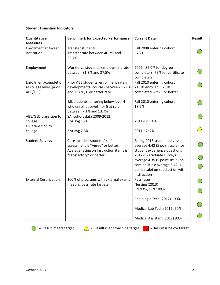## **Student Transition Indicators**

| Quantitative                                                 | <b>Benchmark for Expected Performance</b>                                                                     | <b>Current Data</b>                                                                                                                  | <b>Result</b> |
|--------------------------------------------------------------|---------------------------------------------------------------------------------------------------------------|--------------------------------------------------------------------------------------------------------------------------------------|---------------|
| <b>Measures</b>                                              |                                                                                                               |                                                                                                                                      |               |
| Enrollment at 4-year<br>institution                          | Transfer students:<br>Transfer rate between 46.2% and<br>55.7%                                                | Fall 2008 entering cohort<br>57.2%                                                                                                   |               |
| Employment                                                   | Workforce students: employment rate<br>between 81.3% and 87.5%                                                | 2009: 86.0% for degree<br>completers, 79% for certificate<br>completers                                                              |               |
| Enrollment/completion<br>at college level (prior<br>ABE/ESL) | Prior ABE students: enrollment rate in<br>developmental courses between 16.7%<br>and 23.8%; C or better rate  | Fall 2010 entering cohort<br>21.0% enrolled; 67.0%<br>completed with C or better                                                     |               |
|                                                              | ESL students: entering below level 4<br>who enroll at Level 4 or 5 at rate<br>between 7.1% and 13.7%          | Fall 2010 entering cohort<br>18.2%                                                                                                   |               |
| ABE/GED transition to<br>college<br><b>ESL transition to</b> | SAI cohort data 2009-2012:<br>3 yr avg 13%                                                                    | 2011-12: 14%                                                                                                                         |               |
| college                                                      | 3 yr avg 2.3%                                                                                                 | 2011-12:2%                                                                                                                           |               |
| <b>Student Surveys</b>                                       | Core abilities: students' self-<br>assessment is "Agree" or better;<br>Average rating on Instruction items is | Spring 2013 student survey:<br>average 4.42 (5 point scale) for<br>student experience questions                                      |               |
|                                                              | "satisfactory" or better                                                                                      | 2012-13 graduate surveys:<br>average 4.39 (5 point scale) on<br>core abilities; average 3.42 (4<br>point scale) on satisfaction with |               |
| <b>External Certification</b>                                | 100% of programs with external exams                                                                          | instruction<br>Pass rates:                                                                                                           |               |
|                                                              | meeting pass rate targets                                                                                     | Nursing (2013)<br>RN 93%, LPN 100%                                                                                                   |               |
|                                                              |                                                                                                               | Radiologic Tech (2012) 100%                                                                                                          |               |
|                                                              |                                                                                                               | Medical Lab Tech (2012) 90%                                                                                                          |               |
|                                                              |                                                                                                               | Medical Assistant (2012) 90%                                                                                                         |               |

**C** = Result meets target  $\triangle$  = Result is approaching target  $\triangle$  = Result is below target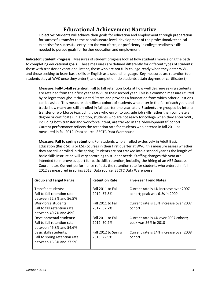# **Educational Achievement Narrative**

Objective: Students will achieve their goals for education and employment through preparation for successful transfer to the baccalaureate level, development of the professional/technical expertise for successful entry into the workforce, or proficiency in college readiness skills needed to pursue goals for further education and employment.

**Indicator: Student Progress.** Measures of student progress look at how students move along the path to completing educational goals. These measures are defined differently for different types of students: those with transfer or vocational intent, those who are not fully college-ready when they enter WVC, and those seeking to learn basic skills or English as a second language. Key measures are retention (do students stay at WVC once they enter?) and completion (do students attain degrees or certificates?).

**Measure: Fall-to-fall retention.** Fall to fall retention looks at how well degree-seeking students are retained from their first year at WVC to their second year. This is a common measure utilized by colleges throughout the United States and provides a foundation from which other questions can be asked. This measure identifies a cohort of students who enter in the fall of each year, and tracks how many are still enrolled in fall quarter one year later. Students are grouped by intent: transfer or workforce (excluding those who enroll to upgrade job skills rather than complete a degree or certificate). In addition, students who are not ready for college when they enter WVC, including both transfer and workforce intent, are tracked in the "developmental" cohort. Current performance reflects the retention rate for students who entered in fall 2011 as measured in fall 2012. Data source: SBCTC Data Warehouse.

**Measure: Fall to spring retention.** For students who enrolled exclusively in Adult Basic Education (Basic Skills or ESL) courses in their first quarter at WVC, this measure assess whether they are still enrolled in the spring. Students are not tracked into a second year as the length of basic skills instruction will vary according to student needs. Staffing changes this year are intended to improve support for basic skills retention, including the hiring of an ABE Success Coordinator. Current performance reflects the retention rate for students who entered in fall 2012 as measured in spring 2013. Data source: SBCTC Data Warehouse.

| <b>Group and Target Range</b> | <b>Retention Rate</b> | <b>Five-Year Trend Notes</b>           |
|-------------------------------|-----------------------|----------------------------------------|
|                               |                       |                                        |
| Transfer students:            | Fall 2011 to Fall     | Current rate is 4% increase over 2007  |
| Fall to fall retention rate   | 2012: 57.8%           | cohort; peak was 61% in 2009           |
| between 52.3% and 56.5%       |                       |                                        |
| Workforce students:           | Fall 2011 to Fall     | Current rate is 13% increase over 2007 |
| Fall to fall retention rate   | 2012:52.7%            | cohort                                 |
| between 40.7% and 49%         |                       |                                        |
| Developmental students:       | Fall 2011 to Fall     | Current rate is 4% over 2007 cohort;   |
| Fall to fall retention rate   | 2012:50.2%            | peak was 56% in 2010                   |
| between 46.8% and 54.6%       |                       |                                        |
| Basic skills students:        | Fall 2012 to Spring   | Current rate is 14% increase over 2008 |
| Fall to spring retention rate | 2013: 22.9%           | cohort                                 |
| between 16.3% and 27.5%       |                       |                                        |
|                               |                       |                                        |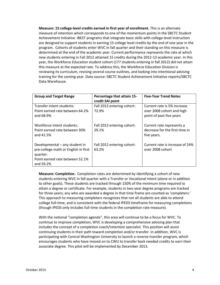**Measure: 15 college-level credits earned in first year of enrollment.** This is an alternate measure of retention which corresponds to one of the momentum points in the SBCTC Student Achievement Initiative. IBEST programs that integrate basic skills with college-level instruction are designed to support students in earning 15 college level credits by the end of one year in the program. Cohorts of students enter WVC in fall quarter and their standing on this measure is determined at the end of the academic year. Current performance represents the rate at which new students entering in Fall 2012 attained 15 credits during the 2012-13 academic year. In this year, the Workforce Education student cohort (177 students entering in fall 2012) did not attain this measure at the expected rate. To address this, the Workforce Education Division is reviewing its curriculum, revising several course outlines, and looking into intentional advising training for the coming year. Data source: SBCTC Student Achievement Initiative reports/SBCTC Data Warehouse.

| <b>Group and Target Range</b>                                                                                                      | Percentage that attain 15-<br>credit SAI point | <b>Five-Year Trend Notes</b>                                                         |
|------------------------------------------------------------------------------------------------------------------------------------|------------------------------------------------|--------------------------------------------------------------------------------------|
| Transfer intent students:<br>Point earned rate between 64.2%<br>and 68.9%                                                          | Fall 2012 entering cohort:<br>72.9%            | Current rate is 5% increase<br>over 2008 cohort and high<br>point of past five years |
| Workforce intent students:<br>Point earned rate between 30%<br>and 41.5%                                                           | Fall 2012 entering cohort:<br>29.1%            | Current rate represents a<br>decrease for the first time in<br>five years.           |
| Developmental - any student in<br>pre-college math or English in first<br>quarter:<br>Point earned rate between 52.1%<br>and 59.2% | Fall 2012 entering cohort:<br>63.2%            | Current rate is increase of 24%<br>over 2008 cohort                                  |

**Measure: Completion.** Completion rates are determined by identifying a cohort of new students entering WVC in fall quarter with a Transfer or Vocational intent (alone or in addition to other goals). These students are tracked through 150% of the minimum time required to attain a degree or certificate. For example, students in two-year degree programs are tracked for three years; any who are awarded a degree in that time frame are counted as 'completers.' This approach to measuring completers recognizes that not all students are able to attend college full-time, and is consistent with the federal IPEDS timeframe for measuring completions (though IPEDS only includes full-time students in the completion rate measure).

With the national "completion agenda", this area will continue to be a focus for WVC. To continue to improve completion, WVC is developing a comprehensive advising plan that includes the concept of a completion coach/retention specialist. This position will assist continuing students in their path toward completion and/or transfer. In addition, WVC is participating with Central Washington University to launch a reverse transfer program, which encourages students who have moved on to CWU to transfer back needed credits to earn their associate degree. This pilot will be implemented by December 2013.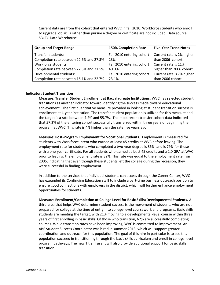Current data are from the cohort that entered WVC in fall 2010. Workforce students who enroll to upgrade job skills rather than pursue a degree or certificate are not included. Data source: SBCTC Data Warehouse.

| <b>Group and Target Range</b>           | <b>150% Completion Rate</b> | <b>Five-Year Trend Notes</b> |
|-----------------------------------------|-----------------------------|------------------------------|
| Transfer students:                      | Fall 2010 entering cohort   | Current rate is 2% higher    |
| Completion rate between 22.6% and 27.3% | 23%                         | than 2006 cohort             |
| Workforce students:                     | Fall 2010 entering cohort   | Current rate is 11%          |
| Completion rate between 22.3% and 31.5% | 40.0%                       | higher than 2006 cohort      |
| Developmental students:                 | Fall 2010 entering cohort   | Current rate is 7% higher    |
| Completion rate between 16.1% and 22.7% | 23.1%                       | than 2006 cohort             |

#### **Indicator: Student Transition**

**Measure: Transfer Student Enrollment at Baccalaureate Institutions.** WVC has selected student transitions as another indicator toward identifying the success made toward educational achievement. The first quantitative measure provided in looking at student transition success is enrollment at 4-year institution. The transfer student population is utilized for this measure and the target is a rate between 4.2% and 55.7%. The most recent transfer cohort data indicated that 57.2% of the entering cohort successfully transferred within three years of beginning their program at WVC. This rate is 4% higher than the rate five years ago.

**Measure: Post-Program Employment for Vocational Students.** Employment is measured for students with Workforce intent who earned at least 45 credits at WVC before leaving. The employment rate for students who completed a two-year degree is 86%, and is 79% for those with a one-year certificate. For all students who earned at least 45 credits and a 2.0 GPA at WVC prior to leaving, the employment rate is 82%. This rate was equal to the employment rate from 2005, indicating that even though these students left the college during the recession, they were successful in finding employment.

In addition to the services that individual students can access through the Career Center, WVC has expanded its Continuing Education staff to include a part-time business outreach position to ensure good connections with employers in the district, which will further enhance employment opportunities for students.

**Measure: Enrollment/Completion at College Level for Basic Skills/Developmental Students.** A third area that helps WVC determine student success is the movement of students who are not prepared for college at the time of entry into college-level coursework and programs. Basic skills students are meeting the target, with 21% moving to a developmental-level course within three years of first enrolling in basic skills. Of those who transition, 67% are successfully completing courses. While transition rates have been improving, WVC is committed to improvement. An ABE Student Success Coordinator was hired in summer 2013, which will support greater coordination and outreach for this population. The goal of this hire in particular is to see this population succeed in transitioning through the basic skills curriculum and enroll in college-level program pathways. The new Title III grant will also provide additional support for basic skills transition.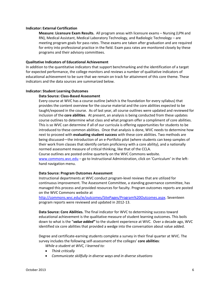## **Indicator: External Certification**

**Measure: Licensure Exam Results.** All program areas with licensure exams – Nursing (LPN and RN), Medical Assistant, Medical Laboratory Technology, and Radiologic Technology – are meeting program goals for pass rates. These exams are taken after graduation and are required for entry into professional practice in the field. Exam pass rates are monitored closely by these programs and their advisory committees.

## **Qualitative Indicators of Educational Achievement**

In addition to the quantitative indicators that support benchmarking and the identification of a target for expected performance, the college monitors and reviews a number of qualitative indicators of educational achievement to be sure that we remain on track for attainment of this core theme. These indicators and the data sources are summarized below.

## **Indicator: Student Learning Outcomes**

## **Data Source: Class-Based Assessment**

Every course at WVC has a course outline (which is the foundation for every syllabus) that provides the content overview for the course material and the core abilities expected to be taught/exposed in the course. As of last year, all course outlines were updated and reviewed for inclusion of the **core abilities**. At present, an analysis is being conducted from these updates course outlines to determine what class and what program offer a compliment of core abilities. This is so WVC can determine if all of our curricula is offering opportunities for students to be introduced to these common abilities. Once that analysis is done, WVC needs to determine how next to proceed with **evaluating student success** with these core abilities. Two methods are being discussed—the introduction of an e-Portfolio pilot (where students can keep samples of their work from classes that identify certain proficiency with a core ability), and a nationally normed assessment measure of critical thinking, like that of the CCLA. Course outlines are posted online quarterly on the WVC Commons website.

[www.commons.wvc.edu](http://www.commons.wvc.edu/) – go to Instructional Administration, click on 'Curriculum' in the lefthand navigation menu.

## **Data Source: Program Outcomes Assessment**

Instructional departments at WVC conduct program-level reviews that are utilized for continuous improvement. The Assessment Committee, a standing governance committee, has managed this process and provided resources for faculty. Program outcomes reports are posted on the WVC Commons website at

[http://commons.wvc.edu/ie/outcomes/SitePages/Program%20Outcomes.aspx.](http://commons.wvc.edu/ie/outcomes/SitePages/Program%20Outcomes.aspx) Seventeen program reports were reviewed and updated in 2012-13.

**Data Source: Core Abilities.** The final indicator for WVC to determining success toward educational achievement is the qualitative measure of student learning outcomes. This boils down to what is the "*value added"* to the student experience at WVC. Over a decade ago, WVC identified six core abilities that provided a wedge into the conversation about value added.

Degree and certificate-earning students complete a survey in their final quarter at WVC. The survey includes the following self-assessment of the colleges' **core abilities**:

*While a student at WVC, I learned to:*

- *Think critically*
- *Communicate skillfully in diverse ways and in diverse situations*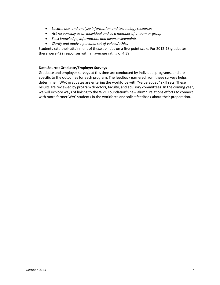- *Locate, use, and analyze information and technology resources*
- *Act responsibly as an individual and as a member of a team or group*
- *Seek knowledge, information, and diverse viewpoints*
- *Clarify and apply a personal set of values/ethics*

Students rate their attainment of these abilities on a five-point scale. For 2012-13 graduates, there were 422 responses with an average rating of 4.39.

## **Data Source: Graduate/Employer Surveys**

Graduate and employer surveys at this time are conducted by individual programs, and are specific to the outcomes for each program. The feedback garnered from these surveys helps determine if WVC graduates are entering the workforce with "value added" skill sets. These results are reviewed by program directors, faculty, and advisory committees. In the coming year, we will explore ways of linking to the WVC Foundation's new alumni relations efforts to connect with more former WVC students in the workforce and solicit feedback about their preparation.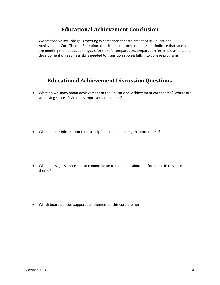# **Educational Achievement Conclusion**

Wenatchee Valley College is meeting expectations for attainment of its Educational Achievement Core Theme. Retention, transition, and completion results indicate that students are meeting their educational goals for transfer preparation, preparation for employment, and development of readiness skills needed to transition successfully into college programs.

# **Educational Achievement Discussion Questions**

 What do we know about achievement of the Educational Achievement core theme? Where are we having success? Where is improvement needed?

What data or information is most helpful in understanding this core theme?

 What message is important to communicate to the public about performance in this core theme?

Which board policies support achievement of this core theme?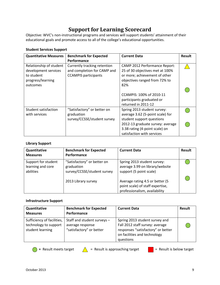# **Support for Learning Scorecard**

Objective: WVC's non-instructional programs and services will support students' attainment of their educational goals and promote access to all of the college's educational opportunities.

| <b>Quantitative Measures</b>                                                       | <b>Benchmark for Expected</b>                                                              | <b>Current Data</b>                                                                                                                       | Result |
|------------------------------------------------------------------------------------|--------------------------------------------------------------------------------------------|-------------------------------------------------------------------------------------------------------------------------------------------|--------|
|                                                                                    | Performance                                                                                |                                                                                                                                           |        |
| Relationship of student<br>development services<br>to student<br>progress/learning | Currently tracking retention<br>and completion for CAMP and<br><b>CCAMPIS participants</b> | <b>CAMP 2012 Performance Report:</b><br>25 of 30 objectives met at 100%<br>or more; achievement of other<br>objectives ranged from 72% to |        |
| outcomes                                                                           |                                                                                            | 82%<br>CCAMPIS: 100% of 2010-11<br>participants graduated or<br>returned in 2011-12                                                       |        |
| Student satisfaction<br>with services                                              | "Satisfactory" or better on<br>graduation<br>survey/CCSSE/student survey                   | Spring 2013 student survey:<br>average 3.62 (5-point scale) for<br>student support questions                                              |        |
|                                                                                    |                                                                                            | 2012-13 graduate survey: average<br>3.38 rating (4-point scale) on<br>satisfaction with services                                          |        |

## **Student Services Support**

## **Library Support**

| Quantitative<br><b>Measures</b>                       | <b>Benchmark for Expected</b><br>Performance                             | <b>Current Data</b>                                                                                  | Result |
|-------------------------------------------------------|--------------------------------------------------------------------------|------------------------------------------------------------------------------------------------------|--------|
| Support for student<br>learning and core<br>abilities | "Satisfactory" or better on<br>graduation<br>survey/CCSSE/student survey | Spring 2013 student survey:<br>average 3.99 on library/website<br>support (5 point scale)            |        |
|                                                       | 2013 Library survey                                                      | Average rating 4.5 or better (5<br>point scale) of staff expertise,<br>professionalism, availability |        |

## **Infrastructure Support**

| Quantitative<br><b>Measures</b>                                         | <b>Benchmark for Expected</b><br>Performance                                | <b>Current Data</b>                                                                                                                                  | Result |
|-------------------------------------------------------------------------|-----------------------------------------------------------------------------|------------------------------------------------------------------------------------------------------------------------------------------------------|--------|
| Sufficiency of facilities,<br>technology to support<br>student learning | Staff and student surveys -<br>average response<br>"satisfactory" or better | Spring 2013 student survey and<br>Fall 2012 staff survey: average<br>responses "satisfactory" or better<br>on facilities and technology<br>questions |        |



**C** = Result meets target  $\triangle$  = Result is approaching target  $\triangle$  = Result is below target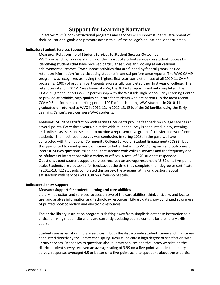# **Support for Learning Narrative**

Objective: WVC's non-instructional programs and services will support students' attainment of their educational goals and promote access to all of the college's educational opportunities.

## **Indicator: Student Services Support**

## **Measure: Relationship of Student Services to Student Success Outcomes**

WVC is expanding its understanding of the impact of student services on student success by identifying students that have received particular services and looking at educational achievement outcomes. Two support activities that are funded by federal grants include retention information for participating students in annual performance reports. The WVC CAMP program was recognized as having the highest first-year completion rate of all 2010-11 CAMP programs: 100% of program participants successfully completed their first year of college. The retention rate for 2011-12 was lower at 67%; the 2012-13 report is not yet completed. The CCAMPIS grant supports WVC's partnership with the Westside High School Early Learning Center to provide affordable, high-quality childcare for students who are parents. In the most recent CCAMPIS performance reporting period, 100% of participating WVC students in 2010-11 graduated or returned to WVC in 2011-12. In 2012-13, 65% of the 26 families using the Early Learning Center's services were WVC students.

**Measure: Student satisfaction with services.** Students provide feedback on college services at several points. Every three years, a district-wide student survey is conducted in day, evening, and online class sessions selected to provide a representative group of transfer and workforce students. The most recent survey was conducted in spring 2013. In the past, we have contracted with the national Community College Survey of Student Engagement (CCSSE), but this year opted to develop our own survey to better tailor it to WVC programs and outcomes of interest. Survey questions asked about satisfaction with college services and the frequency and helpfulness of interactions with a variety of offices. A total of 620 students responded. Questions about student support services received an average response of 3.62 on a five-point scale. Students are also asked for feedback at the time they complete their degree or certificate. In 2012-13, 422 students completed this survey; the average rating on questions about satisfaction with services was 3.38 on a four-point scale.

## **Indicator: Library Support**

## **Measure: Support for student learning and core abilities**

Library instruction and services focuses on two of the core abilities: think critically; and locate, use, and analyze information and technology resources. Library data show continued strong use of printed book collection and electronic resources.

The entire library instruction program is shifting away from simplistic database instruction to a critical thinking model. Librarians are currently updating course content for the library skills course.

Students are asked about library services in both the district-wide student survey and in a survey conducted directly by the library each spring. Results indicate a high degree of satisfaction with library services. Responses to questions about library services and the library website on the district student survey received an average rating of 3.99 on a five-point scale. In the library survey, responses averaged 4.5 or better on a five-point scale to questions about the expertise,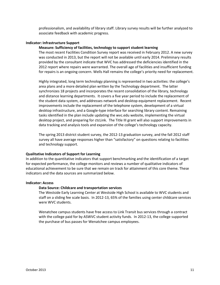professionalism, and availability of library staff. Library survey results will be further analyzed to associate feedback with academic progress.

#### **Indicator: Infrastructure Support**

## **Measure: Sufficiency of facilities, technology to support student learning**

The most recent Facilities Condition Survey report was received in February 2012. A new survey was conducted in 2013, but the report will not be available until early 2014. Preliminary results provided by the consultant indicate that WVC has addressed the deficiencies identified in the 2012 report where repairs were warranted. The overall age of facilities and insufficient funding for repairs is an ongoing concern. Wells Hall remains the college's priority need for replacement.

Highly integrated, long term technology planning is represented in two activities: the college's area plans and a more detailed plan written by the Technology department. The latter synchronizes 18 projects and incorporates the recent consolidation of the library, technology and distance learning departments. It covers a five year period to include the replacement of the student data system, and addresses network and desktop equipment replacement. Recent improvements include the replacement of the telephone system, development of a virtual desktop infrastructure, and a Google-type interface for searching library content. Remaining tasks identified in the plan include updating the wvc.edu website, implementing the virtual desktop project, and preparing for ctcLink. The Title III grant will also support improvements in data tracking and analysis tools and expansion of the college's technology capacity.

The spring 2013 district student survey, the 2012-13 graduation survey, and the fall 2012 staff survey all have average responses higher than "satisfactory" on questions relating to facilities and technology support.

#### **Qualitative Indicators of Support for Learning**

In addition to the quantitative indicators that support benchmarking and the identification of a target for expected performance, the college monitors and reviews a number of qualitative indicators of educational achievement to be sure that we remain on track for attainment of this core theme. These indicators and the data sources are summarized below.

#### **Indicator: Access**

## **Data Source: Childcare and transportation services**

The Westside Early Learning Center at Westside High School is available to WVC students and staff on a sliding fee scale basis. In 2012-13, 65% of the families using center childcare services were WVC students.

Wenatchee campus students have free access to Link Transit bus services through a contract with the college paid for by ASWVC student activity funds. In 2012-13, the college supported the purchase of bus passes for Wenatchee campus employees.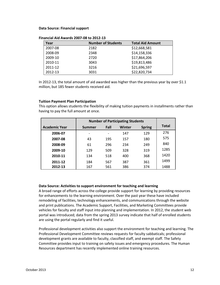#### **Data Source: Financial support**

| Year    | <b>Number of Students</b> | <b>Total Aid Amount</b> |
|---------|---------------------------|-------------------------|
| 2007-08 | 2182                      | \$12,668,581            |
| 2008-09 | 2348                      | \$14,158,336            |
| 2009-10 | 2720                      | \$17,864,206            |
| 2010-11 | 3043                      | \$19,813,486            |
| 2011-12 | 3216                      | \$21,696,597            |
| 2012-13 | 3031                      | \$22,820,734            |

**Financial Aid Awards 2007-08 to 2012-13**

In 2012-13, the total amount of aid awarded was higher than the previous year by over \$1.1 million, but 185 fewer students received aid.

## **Tuition Payment Plan Participation**

This option allows students the flexibility of making tuition payments in installments rather than having to pay the full amount at once.

|                      | <b>Number of Participating Students</b> |      |        |               |              |
|----------------------|-----------------------------------------|------|--------|---------------|--------------|
| <b>Academic Year</b> | <b>Summer</b>                           | Fall | Winter | <b>Spring</b> | <b>Total</b> |
| 2006-07              |                                         |      | 147    | 129           | 276          |
| 2007-08              | 43                                      | 195  | 157    | 180           | 575          |
| 2008-09              | 61                                      | 296  | 234    | 249           | 840          |
| 2009-10              | 129                                     | 509  | 328    | 319           | 1285         |
| 2010-11              | 134                                     | 518  | 400    | 368           | 1420         |
| 2011-12              | 184                                     | 567  | 387    | 361           | 1499         |
| 2012-13              | 167                                     | 561  | 386    | 374           | 1488         |

## **Data Source: Activities to support environment for teaching and learning**

A broad range of efforts across the college provide support for learning by providing resources for enhancements to the learning environment. Over the past year these have included remodeling of facilities, technology enhancements, and communications through the website and print publications. The Academic Support, Facilities, and Marketing Committees provide vehicles for faculty and staff input into planning and implementation. In 2012, the student web portal was introduced; data from the spring 2013 survey indicate that half of enrolled students are using the portal regularly and find it useful.

Professional development activities also support the environment for teaching and learning. The Professional Development Committee reviews requests for faculty sabbaticals; professional development grants are available to faculty, classified staff, and exempt staff. The Safety Committee provides input to training on safety issues and emergency procedures. The Human Resources department has recently implemented online training resources.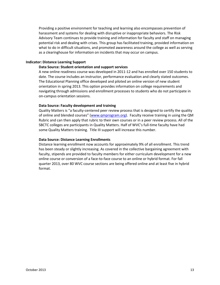Providing a positive environment for teaching and learning also encompasses prevention of harassment and systems for dealing with disruptive or inappropriate behaviors. The Risk Advisory Team continues to provide training and information for faculty and staff on managing potential risk and dealing with crises. This group has facilitated training, provided information on what to do in difficult situations, and promoted awareness around the college as well as serving as a clearinghouse for information on incidents that may occur on campus.

## **Indicator: Distance Learning Support**

## **Data Source: Student orientation and support services**

A new online readiness course was developed in 2011-12 and has enrolled over 150 students to date. The course includes an instructor, performance evaluation and clearly stated outcomes. The Educational Planning office developed and piloted an online version of new student orientation in spring 2013. This option provides information on college requirements and navigating through admissions and enrollment processes to students who do not participate in on-campus orientation sessions.

## **Data Source: Faculty development and training**

Quality Matters is "a faculty-centered peer review process that is designed to certify the quality of online and blended courses" ([www.qmprogram.org\)](http://www.qmprogram.org/). Faculty receive training in using the QM Rubric and can then apply that rubric to their own courses or in a peer review process. All of the SBCTC colleges are participants in Quality Matters. Half of WVC's full-time faculty have had some Quality Matters training. Title III support will increase this number.

## **Data Source: Distance Learning Enrollments**

Distance learning enrollment now accounts for approximately 9% of all enrollment. This trend has been steady or slightly increasing. As covered in the collective bargaining agreement with faculty, stipends are provided to faculty members for either curriculum development for a new online course or conversion of a face-to-face course to an online or hybrid format. For fall quarter 2013, over 80 WVC course sections are being offered online and at least five in hybrid format.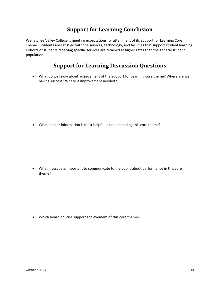# **Support for Learning Conclusion**

Wenatchee Valley College is meeting expectations for attainment of its Support for Learning Core Theme. Students are satisfied with the services, technology, and facilities that support student learning. Cohorts of students receiving specific services are retained at higher rates than the general student population.

# **Support for Learning Discussion Questions**

 What do we know about achievement of the Support for Learning core theme? Where are we having success? Where is improvement needed?

What data or information is most helpful in understanding this core theme?

 What message is important to communicate to the public about performance in this core theme?

Which board policies support achievement of this core theme?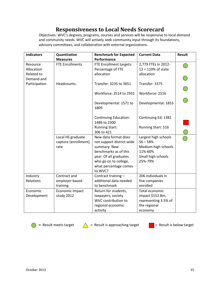# **Responsiveness to Local Needs Scorecard**

Objectives: WVC's degrees, programs, courses and services will be responsive to local demand and community needs. WVC will actively seek community input through its foundations, advisory committees, and collaboration with external organizations.

| <b>Indicators</b> | Quantitative           | <b>Benchmark for Expected</b> | <b>Current Data</b>   | <b>Result</b> |
|-------------------|------------------------|-------------------------------|-----------------------|---------------|
|                   | <b>Measures</b>        | Performance                   |                       |               |
| Resource          | <b>FTE Enrollments</b> | FTE Enrollment targets:       | 2,779 FTEs in 2012-   |               |
| Allocation        |                        | Percentage of FTE             | $13 = 110\%$ of state |               |
| Related to        |                        | allocation                    | allocation            |               |
| Demand and        |                        |                               |                       |               |
| Participation     | Headcounts:            | Transfer: 3235 to 3651        | Transfer: 3375        |               |
|                   |                        |                               |                       |               |
|                   |                        | Workforce: 2514 to 2931       | Workforce: 2516       |               |
|                   |                        |                               |                       |               |
|                   |                        | Developmental: 1571 to        | Developmental: 1853   |               |
|                   |                        | 1809                          |                       |               |
|                   |                        |                               |                       |               |
|                   |                        | <b>Continuing Education:</b>  | Continuing Ed: 1381   |               |
|                   |                        | 1486 to 2300                  |                       |               |
|                   |                        | <b>Running Start:</b>         | Running Start: 516    |               |
|                   |                        | 306 to 421                    |                       |               |
|                   | Local HS graduate      | New data format does          | Largest high schools  |               |
|                   | capture (enrollment)   | not support district-wide     | $56 - 58%$            |               |
|                   | rate                   | summary. New                  | Medium high schools   |               |
|                   |                        | benchmarks as of this         | 11%-60%               |               |
|                   |                        | year: Of all graduates        | Small high schools    |               |
|                   |                        | who go on to college,         | 25%-79%               |               |
|                   |                        | what percentage comes         |                       |               |
|                   |                        | to WVC?                       |                       |               |
| Industry          | Contract and           | Contract training -           | 206 individuals in    |               |
| Relations         | employer-based         | additional data needed        | five companies        |               |
|                   | training               | to benchmark                  | enrolled              |               |
| Economic          | Economic impact        | Return for students,          | Total economic        |               |
| Development       | study 2012             | taxpayers, society            | impact \$152.8m,      |               |
|                   |                        | WVC contribution to           | representing 3.5% of  |               |
|                   |                        | regional economic             | the regional          |               |
|                   |                        | activity                      | economy               |               |





= Result meets target  $\bigwedge$  = Result is approaching target  $\bigcup$  = Result is below target

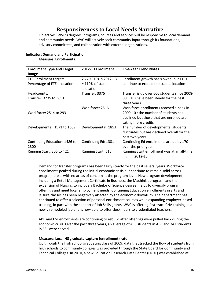# **Responsiveness to Local Needs Narrative**

Objectives: WVC's degrees, programs, courses and services will be responsive to local demand and community needs. WVC will actively seek community input through its foundations, advisory committees, and collaboration with external organizations.

| <b>Enrollment Type and Target</b> | 2012-13 Enrollment        | <b>Five-Year Trend Notes</b>                 |
|-----------------------------------|---------------------------|----------------------------------------------|
| Range                             |                           |                                              |
| FTE Enrollment targets:           | 2,779 FTEs in 2012-13     | Enrollment growth has slowed, but FTEs       |
| Percentage of FTE allocation      | $= 110\%$ of state        | continue to exceed the state allocation      |
|                                   | allocation                |                                              |
| Headcounts:                       | Transfer: 3375            | Transfer is up over 600 students since 2008- |
| Transfer: 3235 to 3651            |                           | 09. FTEs have been steady for the past       |
|                                   |                           | three years.                                 |
|                                   | Workforce: 2516           | Workforce enrollments reached a peak in      |
| Workforce: 2514 to 2931           |                           | 2009-10; the number of students has          |
|                                   |                           | declined but those that are enrolled are     |
|                                   |                           | taking more credits                          |
| Developmental: 1571 to 1809       | Developmental: 1853       | The number of developmental students         |
|                                   |                           | fluctuates but has declined overall for the  |
|                                   |                           | past two years                               |
| Continuing Education: 1486 to     | Continuing Ed: 1381       | Continuing Ed enrollments are up by 170      |
| 2300                              |                           | over the prior year                          |
| Running Start: 306 to 421         | <b>Running Start: 516</b> | Running Start enrollment was at an all-time  |
|                                   |                           | high in 2012-13                              |

## **Indicator: Demand and Participation Measure: Enrollments**

Demand for transfer programs has been fairly steady for the past several years. Workforce enrollments peaked during the initial economic crisis but continue to remain solid across program areas with no areas of concern at the program level. New program development, including a Retail Management Certificate in Business, the Machinist program, and the expansion of Nursing to include a Bachelor of Science degree, helps to diversify program offerings and meet local employment needs. Continuing Education enrollments in arts and leisure classes has been negatively affected by the economic downturn. The department has continued to offer a selection of personal enrichment courses while expanding employer-based training, in part with the support of Job Skills grants. WVC is offering fast-track CNA training in a newly remodeled lab and is now able to offer clock hours to credentialed teachers.

ABE and ESL enrollments are continuing to rebuild after offerings were pulled back during the economic crisis. Over the past three years, an average of 490 students in ABE and 347 students in ESL were served.

## **Measure: Local HS graduate capture (enrollment) rate**

Up through the high school graduating class of 2009, data that tracked the flow of students from high schools to community colleges was provided through the State Board for Community and Technical Colleges. In 2010, a new Education Research Data Center (ERDC) was established at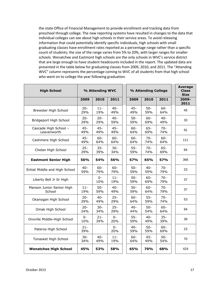the state Office of Financial Management to provide enrollment and tracking data from preschool through college. The new reporting systems have resulted in changes to the data that individual colleges can see about high schools in their service areas. To avoid releasing information that could potentially identify specific individuals, high schools with small graduating classes have enrollment rates reported as a percentage range rather than a specific count of students; the size of the range varies from 5% to 20%, with larger ranges for smaller schools. Wenatchee and Eastmont high schools are the only schools in WVC's service district that are large enough to have student headcounts included in the report. The updated data are presented in the table below for graduating classes from 2009, 2010, and 2011. The "Attending WVC" column represents the percentage coming to WVC of all students from that high school who went on to college the year following graduation.

| <b>High School</b>                   | % Attending WVC |               |               | % Attending College |               |               |  | <b>Average</b><br><b>Class</b><br><b>Size</b> |
|--------------------------------------|-----------------|---------------|---------------|---------------------|---------------|---------------|--|-----------------------------------------------|
|                                      | 2009            | 2010          | 2011          | 2009                | 2010          | 2011          |  | 2009-<br>2011                                 |
| Brewster High School                 | $20 -$<br>29%   | $11 -$<br>19% | $40 -$<br>49% | $45 -$<br>49%       | $50-$<br>59%  | $60 -$<br>64% |  | 45                                            |
| Bridgeport High School               | $20 -$<br>29%   | $20 -$<br>29% | $40 -$<br>59% | $50-$<br>59%        | $60 -$<br>69% | $40 -$<br>49% |  | 33                                            |
| Cascade High School -<br>Leavenworth | $45 -$<br>49%   | $45 -$<br>49% | $45 -$<br>49% | $60 -$<br>64%       | $65 -$<br>69% | $70 -$<br>74% |  | 91                                            |
| Cashmere High School                 | $45 -$<br>49%   | $60 -$<br>64% | $60 -$<br>64% | $60 -$<br>64%       | $70-$<br>74%  | $60 -$<br>64% |  | 111                                           |
| Chelan High School                   | $25 -$<br>29%   | $35 -$<br>39% | $30 -$<br>34% | $55 -$<br>59%       | $70 -$<br>74% | $65 -$<br>69% |  | 84                                            |
| <b>Eastmont Senior High</b>          | 56%             | 54%           | 56%           | 57%                 | 65%           | 57%           |  | 366                                           |
| Entiat Middle and High School        | $40 -$<br>59%   | $60 -$<br>79% | $60 -$<br>79% | $50-$<br>59%        | $40 -$<br>59% | $70 -$<br>79% |  | 23                                            |
| Liberty Bell Jr Sr High              |                 | 0-<br>10%     | $11 -$<br>19% | $50 -$<br>59%       | $60 -$<br>69% | $70 -$<br>79% |  | 37                                            |
| Manson Junior Senior High<br>School  | $11 -$<br>19%   | $50-$<br>59%  | $40 -$<br>49% | $50-$<br>59%        | $60 -$<br>64% | $70 -$<br>79% |  | 37                                            |
| Okanogan High School                 | $20 -$<br>29%   | $40 -$<br>49% | $25 -$<br>29% | $60 -$<br>64%       | $55 -$<br>59% | $70 -$<br>74% |  | 53                                            |
| Omak High School                     | $20 -$<br>24%   | $30 -$<br>34% | $25 -$<br>29% | $40 -$<br>44%       | $50 -$<br>54% | $60 -$<br>64% |  | 94                                            |
| Oroville Middle-High School          | $0 -$<br>10%    | $21 -$<br>39% | $0 -$<br>20%  | $55 -$<br>59%       | $40 -$<br>49% | $35 -$<br>39% |  | 39                                            |
| Pateros High School                  | $21 -$<br>39%   |               | $0 -$<br>20%  | $40 -$<br>59%       | $50-$<br>59%  | $60 -$<br>69% |  | 23                                            |
| Tonasket High School                 | $30 -$<br>34%   | $40 -$<br>49% | $11 -$<br>19% | $60 -$<br>64%       | $45 -$<br>49% | $50-$<br>54%  |  | 70                                            |
| <b>Wenatchee High School</b>         | 45%             | 53%           | 58%           | 65%                 | <b>70%</b>    | 68%           |  | 424                                           |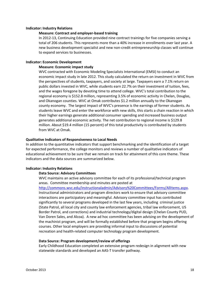## **Indicator: Industry Relations**

## **Measure: Contract and employer-based training**

In 2012-13, Continuing Education provided nine contract trainings for five companies serving a total of 206 students. This represents more than a 40% increase in enrollments over last year. A new business development specialist and new non-credit entrepreneurship classes will continue to expand services to businesses.

## **Indicator: Economic Development**

## **Measure: Economic impact study**

WVC contracted with Economic Modeling Specialists International (EMSI) to conduct an economic impact study in late 2012. This study calculated the return on investment in WVC from the perspectives of students, taxpayers, and society at large. Taxpayers earn a 7.1% return on public dollars invested in WVC, while students earn 22.7% on their investment of tuition, fees, and the wages foregone by devoting time to attend college. WVC's total contribution to the regional economy is \$152.8 million, representing 3.5% of economic activity in Chelan, Douglas, and Okanogan counties. WVC at Omak contributes \$1.2 million annually to the Okanogan county economy. The largest impact of WVC's presence is the earnings of former students. As students leave WVC and enter the workforce with new skills, this starts a chain reaction in which their higher earnings generate additional consumer spending and increased business output generates additional economic activity. The net contribution to regional income is \$129.8 million. About \$19.4 million (15 percent) of this total productivity is contributed by students from WVC at Omak.

#### **Qualitative Indicators of Responsiveness to Local Needs**

In addition to the quantitative indicators that support benchmarking and the identification of a target for expected performance, the college monitors and reviews a number of qualitative indicators of educational achievement to be sure that we remain on track for attainment of this core theme. These indicators and the data sources are summarized below.

## **Indicator: Industry Relations**

## **Data Source: Advisory Committees**

WVC maintains an active advisory committee for each of its professional/technical program areas. Committee membership and minutes are posted at

[http://commons.wvc.edu/instructionaladmin/Advisory%20Committees/Forms/AllItems.aspx.](http://commons.wvc.edu/instructionaladmin/Advisory%20Committees/Forms/AllItems.aspx) Instructional administrators and program directors work to ensure that advisory committee interactions are participatory and meaningful. Advisory committee input has contributed significantly to several programs developed in the last few years, including criminal justice (State Patrol, all local city and county law enforcement agencies, tribal law enforcement, US Border Patrol, and corrections) and industrial technology/digital design (Chelan County PUD, Van Doren Sales, and Alcoa). A new ad hoc committee has been advising on the development of the machinist program, and will be formally established before that program begins offering courses. Other local employers are providing informal input to discussions of potential recreation and health-related computer technology program development.

#### **Data Source: Program development/review of offerings**

Early Childhood Education completed an extensive program redesign in alignment with new statewide standards and developed an AAS-T transfer pathway.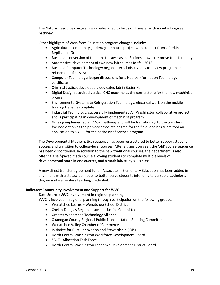The Natural Resources program was redesigned to focus on transfer with an AAS-T degree pathway.

Other highlights of Workforce Education program changes include:

- Agriculture: community garden/greenhouse project with support from a Perkins Replication Grant
- Business: conversion of the Intro to Law class to Business Law to improve transferability
- Automotive: development of two new lab courses for fall 2013
- Business Computer Technology: began internal discussions to review program and refinement of class scheduling
- Computer Technology: began discussions for a Health Information Technology certificate
- Criminal Justice: developed a dedicated lab in Batjer Hall
- Digital Design: acquired vertical CNC machine as the cornerstone for the new machinist program
- Environmental Systems & Refrigeration Technology: electrical work on the mobile training trailer is complete
- Industrial Technology: successfully implemented Air Washington collaborative project and is participating in development of machinist program
- Nursing implemented an AAS-T pathway and will be transitioning to the transferfocused option as the primary associate degree for the field, and has submitted an application to SBCTC for the bachelor of science program.

The Developmental Mathematics sequence has been restructured to better support student success and transition to college-level courses. After a transition year, the 'old' course sequence has been discontinued. In addition to the new traditional courses, the department is also offering a self-paced math course allowing students to complete multiple levels of developmental math in one quarter, and a math lab/study skills class.

A new direct transfer agreement for an Associate in Elementary Education has been added in alignment with a statewide model to better serve students intending to pursue a bachelor's degree and elementary teaching credential.

## **Indicator: Community Involvement and Support for WVC**

## **Data Source: WVC involvement in regional planning**

WVC is involved in regional planning through participation on the following groups:

- Wenatchee Learns Wenatchee School District
- Chelan-Douglas Regional Law and Justice Committee
- Greater Wenatchee Technology Alliance
- Okanogan County Regional Public Transportation Steering Committee
- Wenatchee Valley Chamber of Commerce
- Initiative for Rural Innovation and Stewardship (IRIS)
- North Central Washington Workforce Development Board
- SBCTC Allocation Task Force
- North Central Washington Economic Development District Board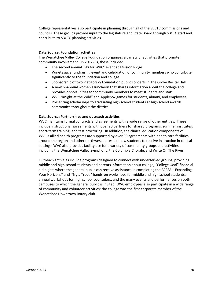College representatives also participate in planning through all of the SBCTC commissions and councils. These groups provide input to the legislature and State Board through SBCTC staff and contribute to SBCTC planning activities.

## **Data Source: Foundation activities**

The Wenatchee Valley College Foundation organizes a variety of activities that promote community involvement. In 2012-13, these included:

- The second annual "Ski for WVC" event at Mission Ridge
- Winetasia, a fundraising event and celebration of community members who contribute significantly to the foundation and college
- Sponsorship of two Piatigorsky Foundation public concerts in The Grove Recital Hall
- A new bi-annual women's luncheon that shares information about the college and provides opportunities for community members to meet students and staff
- WVC "Knight at the Wild" and AppleSox games for students, alumni, and employees
- Presenting scholarships to graduating high school students at high school awards ceremonies throughout the district

## **Data Source: Partnerships and outreach activities**

WVC maintains formal contracts and agreements with a wide range of other entities. These include instructional agreements with over 20 partners for shared programs, summer institutes, short-term training, and test proctoring. In addition, the clinical education components of WVC's allied health programs are supported by over 80 agreements with health care facilities around the region and other northwest states to allow students to receive instruction in clinical settings. WVC also provides facility use for a variety of community groups and activities, including the Wenatchee Valley Symphony, the Columbia Chorale, and Write On The River.

Outreach activities include programs designed to connect with underserved groups; providing middle and high school students and parents information about college; "College Goal" financial aid nights where the general public can receive assistance in completing the FAFSA; "Expanding Your Horizons" and "Try a Trade" hands-on workshops for middle and high school students; annual workshops for high school counselors; and the many events and performances on both campuses to which the general public is invited. WVC employees also participate in a wide range of community and volunteer activities; the college was the first corporate member of the Wenatchee Downtown Rotary club.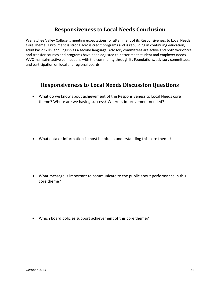# **Responsiveness to Local Needs Conclusion**

Wenatchee Valley College is meeting expectations for attainment of its Responsiveness to Local Needs Core Theme. Enrollment is strong across credit programs and is rebuilding in continuing education, adult basic skills, and English as a second language. Advisory committees are active and both workforce and transfer courses and programs have been adjusted to better meet student and employer needs. WVC maintains active connections with the community through its Foundations, advisory committees, and participation on local and regional boards.

## **Responsiveness to Local Needs Discussion Questions**

 What do we know about achievement of the Responsiveness to Local Needs core theme? Where are we having success? Where is improvement needed?

What data or information is most helpful in understanding this core theme?

 What message is important to communicate to the public about performance in this core theme?

Which board policies support achievement of this core theme?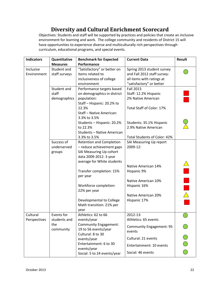# **Diversity and Cultural Enrichment Scorecard**

Objectives: Students and staff will be supported by practices and policies that create an inclusive environment for learning and work. The college community and residents of District 15 will have opportunities to experience diverse and multiculturally rich perspectives through curriculum, educational programs, and special events.

| <b>Indicators</b> | Quantitative                                                       | <b>Benchmark for Expected</b>   | <b>Current Data</b>             | <b>Result</b> |
|-------------------|--------------------------------------------------------------------|---------------------------------|---------------------------------|---------------|
|                   | <b>Measures</b>                                                    | Performance                     |                                 |               |
| Inclusive         | Student and                                                        | "Satisfactory" or better on     | Spring 2013 student survey      |               |
| Environment       | staff surveys                                                      | items related to                | and Fall 2012 staff survey:     |               |
|                   |                                                                    | inclusiveness of college        | all items with ratings at       |               |
|                   |                                                                    | environment                     | "satisfactory" or better        |               |
|                   | Student and                                                        | Performance targets based       | <b>Fall 2013</b>                |               |
|                   | staff                                                              | on demographics in district     | Staff: 12.2% Hispanic           |               |
|                   | demographics                                                       | population:                     | 2% Native American              |               |
|                   |                                                                    | Staff - Hispanic: 20.2% to      |                                 |               |
|                   |                                                                    | 22.3%                           | Total Staff of Color: 17%       |               |
|                   |                                                                    | Staff - Native American:        |                                 |               |
|                   |                                                                    | 3.3% to 3.5%                    |                                 |               |
|                   |                                                                    | Students - Hispanic: 20.2%      | Students: 35.1% Hispanic        |               |
|                   |                                                                    | to 22.3%                        | 2.9% Native American            |               |
|                   |                                                                    | Students - Native American      |                                 |               |
|                   |                                                                    | 3.3% to 3.5%                    | Total Students of Color: 42%    |               |
|                   | Success of                                                         | <b>Retention and Completion</b> | SAI Measuring Up report         |               |
|                   | underserved                                                        | - reduce achievement gaps       | 2009-12:                        |               |
|                   | groups                                                             | SAI Measuring Up cohort         |                                 |               |
|                   |                                                                    | data 2009-2012: 3 year          |                                 |               |
|                   |                                                                    | average for White students      |                                 |               |
|                   |                                                                    |                                 | Native American 14%             |               |
|                   |                                                                    | Transfer completion: 15%        | Hispanic 9%                     |               |
|                   |                                                                    | per year                        |                                 |               |
|                   |                                                                    |                                 | Native American 10%             |               |
|                   |                                                                    | Workforce completion:           | Hispanic 16%                    |               |
|                   |                                                                    | 22% per year                    |                                 |               |
|                   |                                                                    |                                 | Native American 20%             |               |
|                   |                                                                    | Developmental to College        | Hispanic 17%                    |               |
|                   |                                                                    | Math transition: 21% per        |                                 |               |
| Cultural          | Events for                                                         | year<br>Athletics: 62 to 66     | 2012-13:                        |               |
|                   |                                                                    |                                 | Athletics: 65 events            |               |
| Perspectives      | students and<br>events/year<br><b>Community Engagement:</b><br>the |                                 |                                 |               |
|                   | community                                                          | 19 to 56 events/year            | <b>Community Engagement: 95</b> |               |
|                   | Cultural: 8 to 30                                                  |                                 | events                          |               |
|                   |                                                                    | events/year                     | Cultural: 21 events             |               |
|                   | Entertainment: 6 to 30                                             |                                 |                                 |               |
|                   |                                                                    | events/year                     | Entertainment: 10 events        |               |
|                   |                                                                    | Social: 5 to 24 events/year     | Social: 46 events               |               |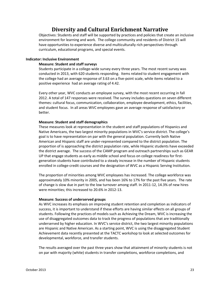# **Diversity and Cultural Enrichment Narrative**

Objectives: Students and staff will be supported by practices and policies that create an inclusive environment for learning and work. The college community and residents of District 15 will have opportunities to experience diverse and multiculturally rich perspectives through curriculum, educational programs, and special events.

## **Indicator: Inclusive Environment**

## **Measure: Student and staff surveys**

Students participate in a college-wide survey every three years. The most recent survey was conducted in 2013, with 620 students responding. Items related to student engagement with the college had an average response of 3.63 on a five-point scale, while items related to a positive experience had an average rating of 4.42.

Every other year, WVC conducts an employee survey, with the most recent occurring in fall 2012. A total of 147 responses were received. The survey includes questions on seven different themes: cultural focus, communication, collaboration, employee development, ethics, facilities, and student focus. In all areas WVC employees gave an average response of satisfactory or better.

## **Measure: Student and staff demographics**

These measures look at representation in the student and staff populations of Hispanics and Native Americans, the two largest minority populations in WVC's service district. The college's goal is to have representation on par with the general population. Currently both Native American and Hispanic staff are under-represented compared to the district population. The proportion of is approaching the district population rate, while Hispanic students have exceeded the district average. The success of the CAMP program and outreach partnerships such as GEAR UP that engage students as early as middle school and focus on college readiness for firstgeneration students have contributed to a steady increase in the number of Hispanic students enrolled in college-credit courses and the designation of WVC as a Hispanic Serving Institution.

The proportion of minorities among WVC employees has increased. The college workforce was approximately 10% minority in 2005, and has been 16% to 17% for the past five years. The rate of change is slow due in part to the low turnover among staff. In 2011-12, 14.3% of new hires were minorities; this increased to 20.6% in 2012-13.

## **Measure: Success of underserved groups**

As WVC increases its emphasis on improving student retention and completion as indicators of success, it is important to understand if these efforts are having similar effects on all groups of students. Following the practices of models such as Achieving the Dream, WVC is increasing the use of disaggregated outcomes data to track the progress of populations that are traditionally underserved by higher education. In WVC's service district, the two largest minority populations are Hispanic and Native American. As a starting point, WVC is using the disaggregated Student Achievement data recently presented at the TACTC workshop to look at selected outcomes for developmental, workforce, and transfer students.

The results averaged over the past three years show that attainment of minority students is not on par with majority (white) students in transfer completions, workforce completions, and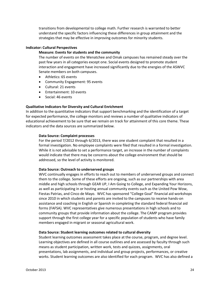transitions from developmental to college math. Further research is warranted to better understand the specific factors influencing these differences in group attainment and the strategies that may be effective in improving outcomes for minority students.

## **Indicator: Cultural Perspectives**

## **Measure: Events for students and the community**

The number of events on the Wenatchee and Omak campuses has remained steady over the past few years in all categories except one. Social events designed to promote student interaction and engagement have increased significantly due to the energies of the ASWVC Senate members on both campuses.

- Athletics: 65 events
- Community Engagement: 95 events
- Cultural: 21 events
- Entertainment: 10 events
- Social: 46 events

## **Qualitative Indicators for Diversity and Cultural Enrichment**

In addition to the quantitative indicators that support benchmarking and the identification of a target for expected performance, the college monitors and reviews a number of qualitative indicators of educational achievement to be sure that we remain on track for attainment of this core theme. These indicators and the data sources are summarized below.

## **Data Source: Complaint processes**

For the period 7/2012 through 6/2013, there was one student complaint that resulted in a formal investigation. No employee complaints were filed that resulted in a formal investigation. While it is not advisable to set a performance target, an increase in the number of complaints would indicate that there may be concerns about the college environment that should be addressed, so the level of activity is monitored.

## **Data Source: Outreach to underserved groups**

WVC continually engages in efforts to reach out to members of underserved groups and connect them to the college. Some of these efforts are ongoing, such as our partnerships with area middle and high schools through GEAR UP, I Am Going to College, and Expanding Your Horizons, as well as participating in or hosting annual community events such as the United Pow Wow, Fiestas Patrias, and Cinco de Mayo. WVC has sponsored "College Goal" financial aid workshops since 2010 in which students and parents are invited to the campuses to receive hands-on assistance and coaching in English or Spanish in completing the standard federal financial aid forms (FAFSA). WVC representatives give numerous presentations in high schools and to community groups that provide information about the college. The CAMP program provides support through the first college year for a specific population of students who have family members engaged in migrant or seasonal agricultural work.

## **Data Source: Student learning outcomes related to cultural diversity**

Student learning outcomes assessment takes place at the course, program, and degree level. Learning objectives are defined in all course outlines and are assessed by faculty through such means as student participation, written work, tests and quizzes, assignments, oral presentations, lab assignments, and individual and group projects, performances, or creative works. Student learning outcomes are also identified for each program. WVC has also defined a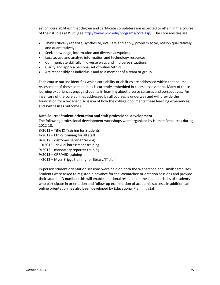set of "core abilities" that degree and certificate completers are expected to attain in the course of their studies at WVC (se[e http://www.wvc.edu/programs/core.asp\)](http://www.wvc.edu/programs/core.asp). The core abilities are:

- Think critically (analyze, synthesize, evaluate and apply, problem solve, reason qualitatively and quantitatively)
- Seek knowledge, information and diverse viewpoints
- Locate, use and analyze information and technology resources
- Communicate skillfully in diverse ways and in diverse situations
- Clarify and apply a personal set of values/ethics
- Act responsibly as individuals and as a member of a team or group

Each course outline identifies which core ability or abilities are addressed within that course. Assessment of these core abilities is currently embedded in course assessment. Many of these learning experiences engage students in learning about diverse cultures and perspectives. An inventory of the core abilities addressed by all courses is underway and will provide the foundation for a broader discussion of how the college documents these learning experiences and synthesizes outcomes.

## **Data Source: Student orientation and staff professional development**

The following professional development workshops were organized by Human Resources during 2012-13:

- 8/2012 Title IX Training for Students
- 4/2012 Ethics training for all staff
- 8/2012 customer service training
- 10/2012 sexual harassment training
- 9/2012 mandatory reporter training
- 9/2013 CPR/AED training
- 4/2012 Myer Briggs training for library/IT staff

In-person student orientation sessions were held on both the Wenatchee and Omak campuses. Students were asked to register in advance for the Wenatchee orientation sessions and provide their student ID number; this will enable additional research on the characteristics of students who participate in orientation and follow-up examination of academic success. In addition, an online orientation has also been developed by Educational Planning staff.